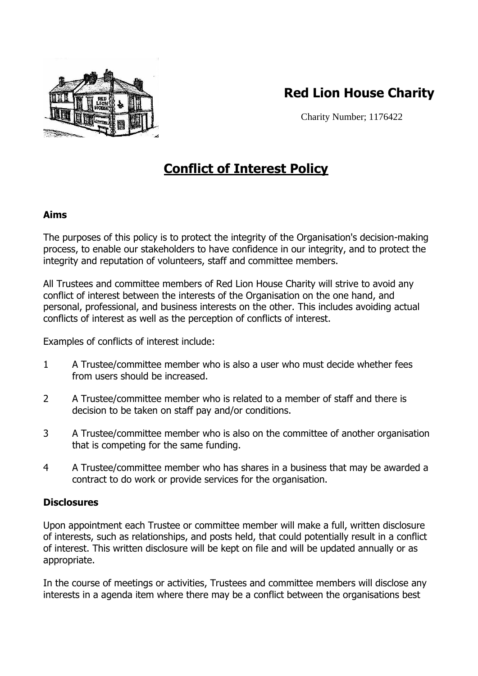

# **Red Lion House Charity**

Charity Number; 1176422

# **Conflict of Interest Policy**

## **Aims**

The purposes of this policy is to protect the integrity of the Organisation's decision-making process, to enable our stakeholders to have confidence in our integrity, and to protect the integrity and reputation of volunteers, staff and committee members.

All Trustees and committee members of Red Lion House Charity will strive to avoid any conflict of interest between the interests of the Organisation on the one hand, and personal, professional, and business interests on the other. This includes avoiding actual conflicts of interest as well as the perception of conflicts of interest.

Examples of conflicts of interest include:

- 1 A Trustee/committee member who is also a user who must decide whether fees from users should be increased.
- 2 A Trustee/committee member who is related to a member of staff and there is decision to be taken on staff pay and/or conditions.
- 3 A Trustee/committee member who is also on the committee of another organisation that is competing for the same funding.
- 4 A Trustee/committee member who has shares in a business that may be awarded a contract to do work or provide services for the organisation.

### **Disclosures**

Upon appointment each Trustee or committee member will make a full, written disclosure of interests, such as relationships, and posts held, that could potentially result in a conflict of interest. This written disclosure will be kept on file and will be updated annually or as appropriate.

In the course of meetings or activities, Trustees and committee members will disclose any interests in a agenda item where there may be a conflict between the organisations best